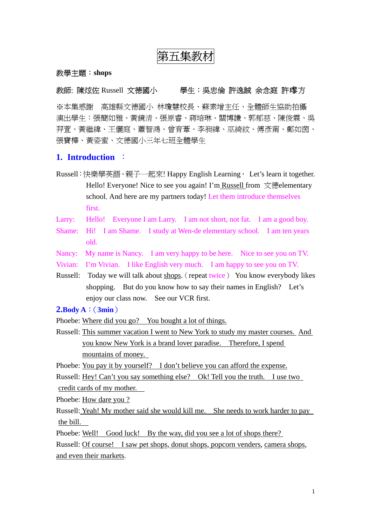# 第五集教材

#### 教學主題:**shops**

## 教師: 陳炫佐 Russell 文德國小 曹人: 學生: 吳忠倫 許逸誠 余念庭 許瓈方

※本集感謝 高雄縣文德國小 林瓊慧校長、蘇素增主任、全體師生協助拍攝 演出學生:張簡如雅、黃鏡清、張原睿、蔣培琳、關博謙、郭郁慈、陳俊霖、吳 羿萱、黃繼緯、王儷庭、蕭智鴻、曾育葦、李昶緯、巫綺紋、傅彥甯、鄭如茵、 張寶樺、黃姿蜜、文德國小三年七班全體學生

## **1. Introduction** :

- Russell:快樂學英語、親子一起來! Happy English Learning, Let's learn it together. Hello! Everyone! Nice to see you again! I'm Russell from  $\overline{\mathcal{R}}$ 德elementary school. And here are my partners today! Let them introduce themselves first.
- Larry: Hello! Everyone I am Larry. I am not short, not fat. I am a good boy.
- Shame: Hi! I am Shame. I study at Wen-de elementary school. I am ten years old.
- Nancy: My name is Nancy. I am very happy to be here. Nice to see you on TV.
- Vivian: I'm Vivian. I like English very much. I am happy to see you on TV.
- Russell: Today we will talk about shops.(repeat twice) You know everybody likes shopping. But do you know how to say their names in English? Let's enjoy our class now. See our VCR first.

#### **2.Body A**:(**3min**)

Phoebe: Where did you go? You bought a lot of things.

Russell: This summer vacation I went to New York to study my master courses. And you know New York is a brand lover paradise. Therefore, I spend mountains of money.

Phoebe: You pay it by yourself? I don't believe you can afford the expense.

Russell: <u>Hey! Can't you say something else?</u> Ok! Tell you the truth. I use two credit cards of my mother.

Phoebe: How dare you ?

Russell: Yeah! My mother said she would kill me. She needs to work harder to pay the bill.

Phoebe: Well! Good luck! By the way, did you see a lot of shops there?

Russell: Of course! I saw pet shops, donut shops, popcorn venders, camera shops, and even their markets.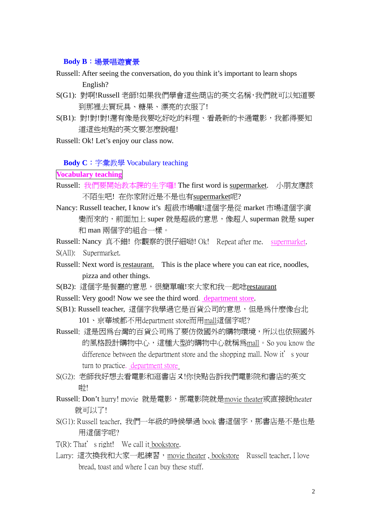### **Body B**:場景唱遊實景

- Russell: After seeing the conversation, do you think it's important to learn shops English?
- S(G1): 對啊!Russell 老師!如果我們學會這些商店的英文名稱,我們就可以知道要 到那裡去買玩具、糖果、漂亮的衣服了!
- S(B1): 對!對!對!還有像是我要吃好吃的料理、看最新的卡通電影,我都得要知 道這些地點的英文要怎麼說喔!
- Russell: Ok! Let's enjoy our class now.

**Body C**:字彙教學 Vocabulary teaching

**Vocabulary teaching**

- Russell: 我們要開始教本課的生字囉! The first word is supermarket. 小朋友應該 不陌生吧! 在你家附近是不是也有supermarket呢?
- Nancy: Russell teacher, I know it's 超級市場嘛!這個字是從 market 市場這個字演 變而來的, 前面加上 super 就是超級的意思,像超人 superman 就是 super 和 man 兩個字的組合一樣。

Russell: Nancy 真不錯! 你觀察的很仔細呦! Ok! Repeat after me. supermarket. S(All): Supermarket.

- Russell: Next word is restaurant. This is the place where you can eat rice, noodles, pizza and other things.
- S(B2): 這個字是餐廳的意思,很簡單嘛!來大家和我一起唸restaurant
- Russell: Very good! Now we see the third word. department store.
- S(B1): Russell teacher, 這個字我學過它是百貨公司的意思, 但是為什麼像台北 101、京華城都不用department store而用mall這個字呢?
- Russell: 這是因為台灣的百貨公司為了要仿傚國外的購物環境,所以也依照國外 的風格設計購物中心,這種大型的購物中心就稱為mall。So you know the difference between the department store and the shopping mall. Now it's your turn to practice. department store
- S(G2): 老師我好想去看電影和逛書店又!你快點告訴我們電影院和書店的英文 啦!
- Russell: Don't hurry! movie 就是電影, 那電影院就是movie theater或直接說theater 就可以了!
- S(G1): Russell teacher, 我們一年級的時候學過 book 書這個字, 那書店是不是也是 用這個字呢?
- T(R): That's right! We call it bookstore.
- Larry: 這次換我和大家一起練習, movie theater, bookstore Russell teacher, I love bread, toast and where I can buy these stuff.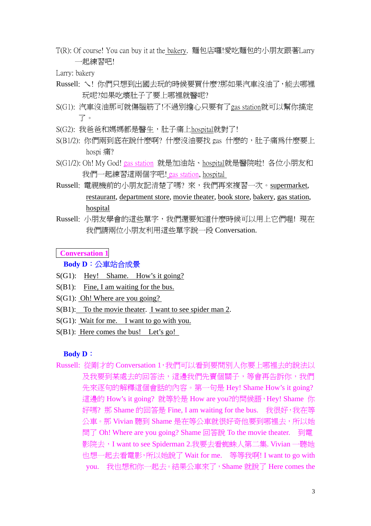T(R): Of course! You can buy it at the bakery. 麵包店囉!愛吃麵包的小朋友跟著Larry 一起練習吧!

Larry: bakery

- Russell: ㄟ! 你們只想到出國去玩的時候要買什麼?那如果汽車沒油了,能去哪裡 玩呢?如果吃壞肚子了要上哪裡就醫呢?
- S(G1): 汽車沒油那可就傷腦筋了!不過別擔心只要有了gas station就可以幫你搞定 了。
- S(G2): 我爸爸和媽媽都是醫生,肚子痛上hospital就對了!
- S(B1/2): 你們兩到底在說什麼啊? 什麼沒油要找 gas 什麼的,肚子痛為什麼要上 hospi 痛?
- S(G1/2): Oh! My God! gas station 就是加油站、hospital就是醫院啦! 各位小朋友和 我們一起練習這兩個字吧! gas station, hospital
- Russell: 電視機前的小朋友記清楚了嗎? 來, 我們再來複習一次。supermarket, restaurant, department store, movie theater, book store, bakery, gas station, hospital
- Russell: 小朋友學會的這些單字,我們還要知道什麼時候可以用上它們喔! 現在 我們請兩位小朋友利用這些單字說一段 Conversation.

**Conversation 1**

## **Body D**:公車站合成景

- S(G1): Hey! Shame. How's it going?
- S(B1): Fine, I am waiting for the bus.
- S(G1): Oh! Where are you going?
- S(B1): To the movie theater. I want to see spider man 2.
- $S(G1)$ : Wait for me. I want to go with you.
- S(B1): Here comes the bus! Let's go!

## **Body D**:

Russell: 從剛才的 Conversation 1,我們可以看到要問別人你要上哪裡去的說法以 及我要到某處去的回答法,這邊我們先賣個關子,等會再告訴你,我們 先來逐句的解釋這個會話的內容。第一句是 Hey! Shame How's it going? 這邊的 How's it going? 就等於是 How are you?的問候語, Hey! Shame 你 好嗎? 那 Shame 的回答是 Fine, I am waiting for the bus. 我很好,我在等 公車。那 Vivian 聽到 Shame 是在等公車就很好奇他要到哪裡去,所以她 問了 Oh! Where are you going? Shame 回答說 To the movie theater. 到電 影院去,I want to see Spiderman 2.我要去看蜘蛛人第二集. Vivian 一聽她 也想一起去看電影,所以她說了 Wait for me. 等等我啊! I want to go with you. 我也想和你一起去。結果公車來了,Shame 就說了 Here comes the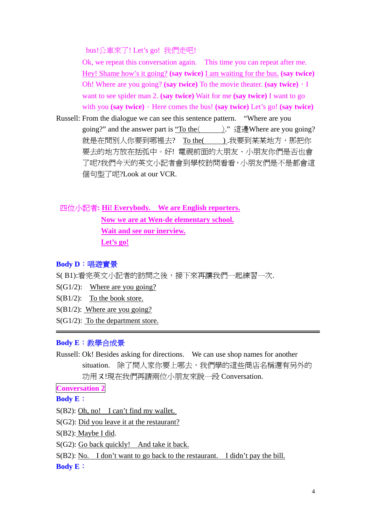bus!公車來了! Let's go! 我們走吧!

Ok, we repeat this conversation again. This time you can repeat after me. Hey! Shame how's it going? **(say twice)** I am waiting for the bus. **(say twice)** Oh! Where are you going? **(say twice)** To the movie theater. **(say twice)**,I want to see spider man 2. **(say twice)** Wait for me **(say twice)** I want to go with you **(say twice)**。Here comes the bus! **(say twice)** Let's go! **(say twice)** 

Russell: From the dialogue we can see this sentence pattern. "Where are you going?" and the answer part is "To the(
)." 這邊Where are you going? 就是在問別人你要到哪裡去? To the( ).我要到某某地方, 那把你 要去的地方放在括弧中。好! 電視前面的大朋友、小朋友你們是否也會 了呢?我們今天的英文小記者會到學校訪問看看,小朋友們是不是都會這 個句型了呢?Look at our VCR.

四位小記者**: Hi! Everybody. We are English reporters. Now we are at Wen-de elementary school. Wait and see our inerview. Let's go!**

## **Body D**:唱遊實景

S(B1):看完英文小記者的訪問之後,接下來再讓我們一起練習一次.

- $S(G1/2)$ : Where are you going?
- S(B1/2): To the book store.
- S(B1/2): Where are you going?
- S(G1/2): To the department store.

## **Body E**:教學合成景

Russell: Ok! Besides asking for directions. We can use shop names for another situation. 除了問人家你要上哪去,我們學的這些商店名稱還有另外的 功用又!現在我們再請兩位小朋友來說一段 Conversation.

**Conversation 2**

**Body E**:

- S(B2): Oh, no! I can't find my wallet.
- S(G2): Did you leave it at the restaurant?

S(B2): Maybe I did.

S(G2): Go back quickly! And take it back.

S(B2): No. I don't want to go back to the restaurant. I didn't pay the bill.

**Body E**: